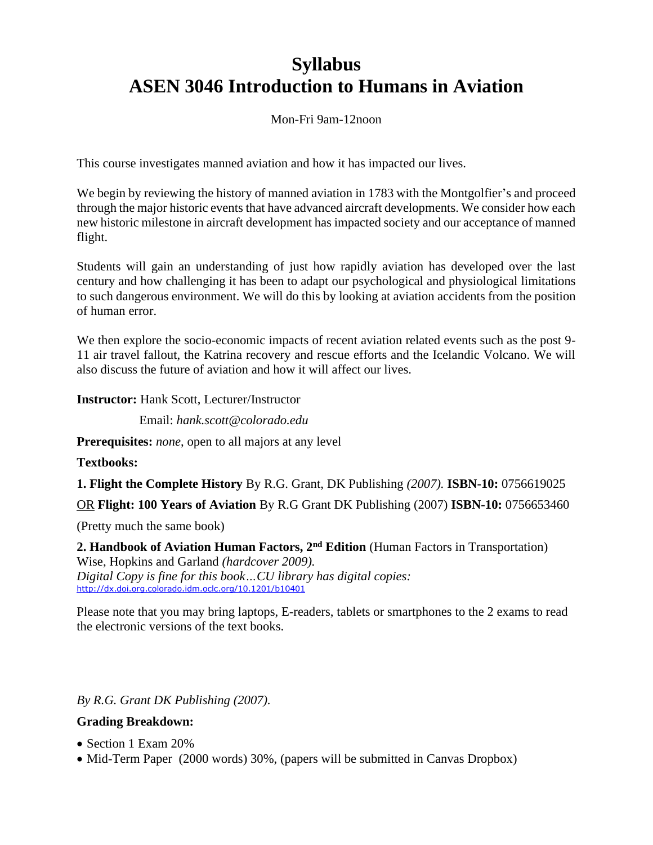# **Syllabus ASEN 3046 Introduction to Humans in Aviation**

Mon-Fri 9am-12noon

This course investigates manned aviation and how it has impacted our lives.

We begin by reviewing the history of manned aviation in 1783 with the Montgolfier's and proceed through the major historic events that have advanced aircraft developments. We consider how each new historic milestone in aircraft development has impacted society and our acceptance of manned flight.

Students will gain an understanding of just how rapidly aviation has developed over the last century and how challenging it has been to adapt our psychological and physiological limitations to such dangerous environment. We will do this by looking at aviation accidents from the position of human error.

We then explore the socio-economic impacts of recent aviation related events such as the post 9- 11 air travel fallout, the Katrina recovery and rescue efforts and the Icelandic Volcano. We will also discuss the future of aviation and how it will affect our lives.

**Instructor:** Hank Scott, Lecturer/Instructor

Email: *hank.scott@colorado.edu*

**Prerequisites:** *none*, open to all majors at any level

**Textbooks:**

**1. Flight the Complete History** By R.G. Grant, DK Publishing *(2007).* **ISBN-10:** 0756619025

OR **Flight: 100 Years of Aviation** By R.G Grant DK Publishing (2007) **ISBN-10:** 0756653460

(Pretty much the same book)

**2. Handbook of Aviation Human Factors, 2nd Edition** (Human Factors in Transportation) Wise, Hopkins and Garland *(hardcover 2009). Digital Copy is fine for this book…CU library has digital copies:* <http://dx.doi.org.colorado.idm.oclc.org/10.1201/b10401>

Please note that you may bring laptops, E-readers, tablets or smartphones to the 2 exams to read the electronic versions of the text books.

*By R.G. Grant DK Publishing (2007).*

### **Grading Breakdown:**

- Section 1 Exam 20%
- Mid-Term Paper (2000 words) 30%, (papers will be submitted in Canvas Dropbox)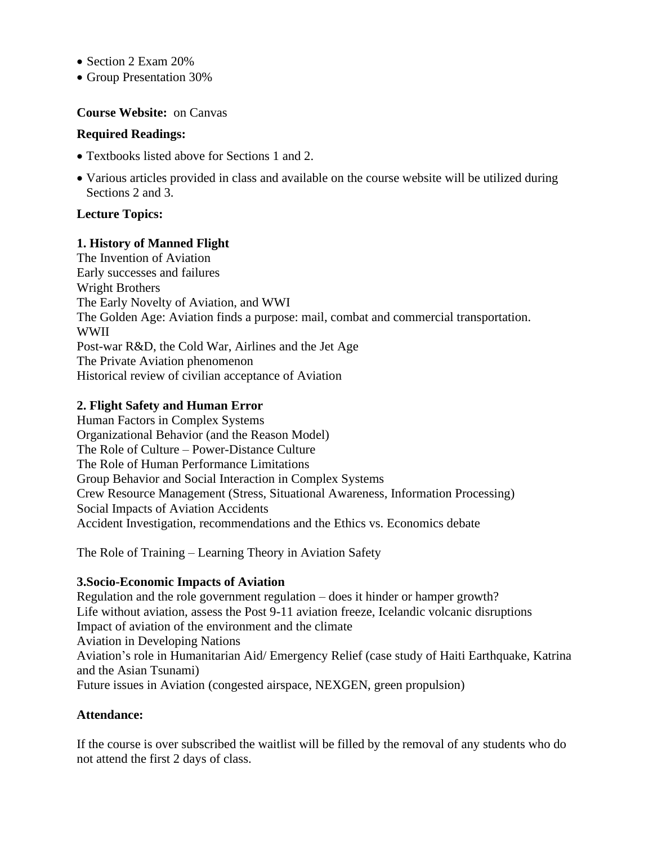- Section 2 Exam 20%
- Group Presentation 30%

#### **Course Website:** on Canvas

#### **Required Readings:**

- Textbooks listed above for Sections 1 and 2.
- Various articles provided in class and available on the course website will be utilized during Sections 2 and 3.

### **Lecture Topics:**

#### **1. History of Manned Flight**

The Invention of Aviation Early successes and failures Wright Brothers The Early Novelty of Aviation, and WWI The Golden Age: Aviation finds a purpose: mail, combat and commercial transportation. WWII Post-war R&D, the Cold War, Airlines and the Jet Age The Private Aviation phenomenon Historical review of civilian acceptance of Aviation

### **2. Flight Safety and Human Error**

Human Factors in Complex Systems Organizational Behavior (and the Reason Model) The Role of Culture – Power-Distance Culture The Role of Human Performance Limitations Group Behavior and Social Interaction in Complex Systems Crew Resource Management (Stress, Situational Awareness, Information Processing) Social Impacts of Aviation Accidents Accident Investigation, recommendations and the Ethics vs. Economics debate

The Role of Training – Learning Theory in Aviation Safety

### **3.Socio-Economic Impacts of Aviation**

Regulation and the role government regulation – does it hinder or hamper growth? Life without aviation, assess the Post 9-11 aviation freeze, Icelandic volcanic disruptions Impact of aviation of the environment and the climate Aviation in Developing Nations Aviation's role in Humanitarian Aid/ Emergency Relief (case study of Haiti Earthquake, Katrina and the Asian Tsunami) Future issues in Aviation (congested airspace, NEXGEN, green propulsion)

### **Attendance:**

If the course is over subscribed the waitlist will be filled by the removal of any students who do not attend the first 2 days of class.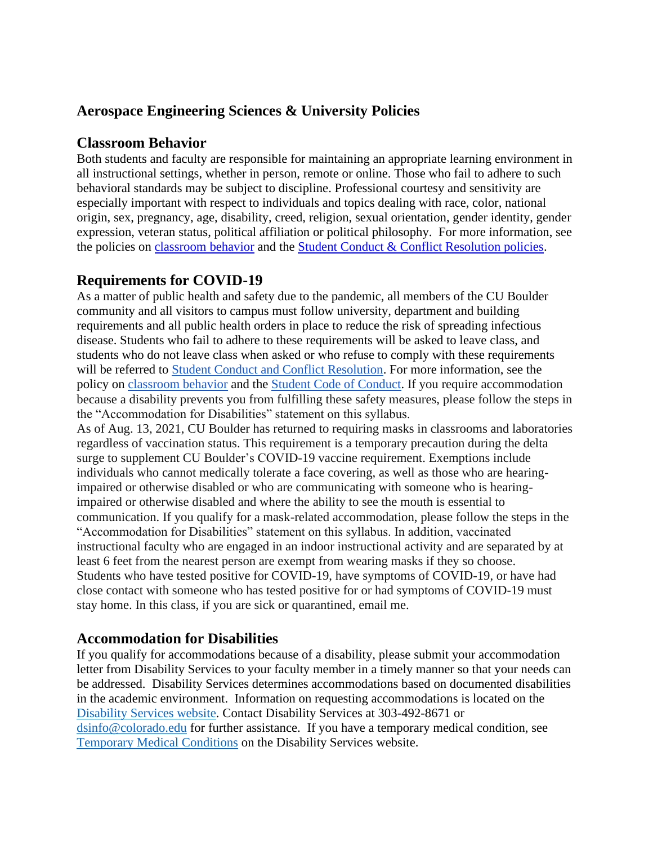# **Aerospace Engineering Sciences & University Policies**

### **Classroom Behavior**

Both students and faculty are responsible for maintaining an appropriate learning environment in all instructional settings, whether in person, remote or online. Those who fail to adhere to such behavioral standards may be subject to discipline. Professional courtesy and sensitivity are especially important with respect to individuals and topics dealing with race, color, national origin, sex, pregnancy, age, disability, creed, religion, sexual orientation, gender identity, gender expression, veteran status, political affiliation or political philosophy. For more information, see the policies on [classroom behavior](http://www.colorado.edu/policies/student-classroom-and-course-related-behavior) and the [Student Conduct & Conflict Resolution policies.](https://www.colorado.edu/sccr/student-conduct)

## **Requirements for COVID-19**

As a matter of public health and safety due to the pandemic, all members of the CU Boulder community and all visitors to campus must follow university, department and building requirements and all public health orders in place to reduce the risk of spreading infectious disease. Students who fail to adhere to these requirements will be asked to leave class, and students who do not leave class when asked or who refuse to comply with these requirements will be referred to [Student Conduct and Conflict Resolution.](https://www.colorado.edu/sccr/) For more information, see the policy o[n](https://www.colorado.edu/policies/covid-19-health-and-safety-policy) [classroom behavior](http://www.colorado.edu/policies/student-classroom-and-course-related-behavior) and th[e](http://www.colorado.edu/osccr/) [Student Code of Conduct.](http://www.colorado.edu/osccr/) If you require accommodation because a disability prevents you from fulfilling these safety measures, please follow the steps in the "Accommodation for Disabilities" statement on this syllabus.

As of Aug. 13, 2021, CU Boulder has returned to requiring masks in classrooms and laboratories regardless of vaccination status. This requirement is a temporary precaution during the delta surge to supplement CU Boulder's COVID-19 vaccine requirement. Exemptions include individuals who cannot medically tolerate a face covering, as well as those who are hearingimpaired or otherwise disabled or who are communicating with someone who is hearingimpaired or otherwise disabled and where the ability to see the mouth is essential to communication. If you qualify for a mask-related accommodation, please follow the steps in the "Accommodation for Disabilities" statement on this syllabus. In addition, vaccinated instructional faculty who are engaged in an indoor instructional activity and are separated by at least 6 feet from the nearest person are exempt from wearing masks if they so choose. Students who have tested positive for COVID-19, have symptoms of COVID-19, or have had close contact with someone who has tested positive for or had symptoms of COVID-19 must stay home. In this class, if you are sick or quarantined, email me.

### **Accommodation for Disabilities**

If you qualify for accommodations because of a disability, please submit your accommodation letter from Disability Services to your faculty member in a timely manner so that your needs can be addressed. Disability Services determines accommodations based on documented disabilities in the academic environment. Information on requesting accommodations is located on the [Disability Services website.](https://www.colorado.edu/disabilityservices/) Contact Disability Services at 303-492-8671 or [dsinfo@colorado.edu](mailto:dsinfo@colorado.edu) for further assistance. If you have a temporary medical condition, see [Temporary Medical Conditions](http://www.colorado.edu/disabilityservices/students/temporary-medical-conditions) on the Disability Services website.